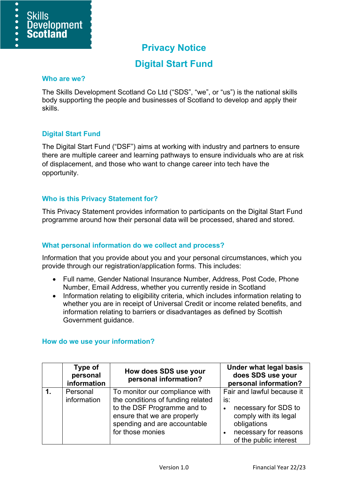

# **Privacy Notice**

# **Digital Start Fund**

#### **Who are we?**

The Skills Development Scotland Co Ltd ("SDS", "we", or "us") is the national skills body supporting the people and businesses of Scotland to develop and apply their skills.

## **Digital Start Fund**

The Digital Start Fund ("DSF") aims at working with industry and partners to ensure there are multiple career and learning pathways to ensure individuals who are at risk of displacement, and those who want to change career into tech have the opportunity.

## **Who is this Privacy Statement for?**

This Privacy Statement provides information to participants on the Digital Start Fund programme around how their personal data will be processed, shared and stored.

#### **What personal information do we collect and process?**

Information that you provide about you and your personal circumstances, which you provide through our registration/application forms. This includes:

- Full name, Gender National Insurance Number, Address, Post Code, Phone Number, Email Address, whether you currently reside in Scotland
- Information relating to eligibility criteria, which includes information relating to whether you are in receipt of Universal Credit or income related benefits, and information relating to barriers or disadvantages as defined by Scottish Government guidance.

| Type of<br>personal<br>information | How does SDS use your<br>personal information?                                                                                                                                        | <b>Under what legal basis</b><br>does SDS use your<br>personal information?                                                                          |
|------------------------------------|---------------------------------------------------------------------------------------------------------------------------------------------------------------------------------------|------------------------------------------------------------------------------------------------------------------------------------------------------|
| Personal<br>information            | To monitor our compliance with<br>the conditions of funding related<br>to the DSF Programme and to<br>ensure that we are properly<br>spending and are accountable<br>for those monies | Fair and lawful because it<br>is:<br>necessary for SDS to<br>comply with its legal<br>obligations<br>necessary for reasons<br>of the public interest |

#### **How do we use your information?**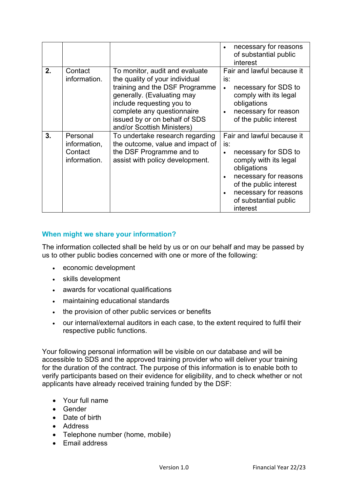|    |                                                     |                                                                                                                                                                                                                                                            | necessary for reasons<br>of substantial public<br>interest                                                                                                                                                         |
|----|-----------------------------------------------------|------------------------------------------------------------------------------------------------------------------------------------------------------------------------------------------------------------------------------------------------------------|--------------------------------------------------------------------------------------------------------------------------------------------------------------------------------------------------------------------|
| 2. | Contact<br>information.                             | To monitor, audit and evaluate<br>the quality of your individual<br>training and the DSF Programme<br>generally. (Evaluating may<br>include requesting you to<br>complete any questionnaire<br>issued by or on behalf of SDS<br>and/or Scottish Ministers) | Fair and lawful because it<br>is:<br>necessary for SDS to<br>comply with its legal<br>obligations<br>necessary for reason<br>of the public interest                                                                |
| 3. | Personal<br>information,<br>Contact<br>information. | To undertake research regarding<br>the outcome, value and impact of<br>the DSF Programme and to<br>assist with policy development.                                                                                                                         | Fair and lawful because it<br>is:<br>necessary for SDS to<br>comply with its legal<br>obligations<br>necessary for reasons<br>of the public interest<br>necessary for reasons<br>of substantial public<br>interest |

# **When might we share your information?**

The information collected shall be held by us or on our behalf and may be passed by us to other public bodies concerned with one or more of the following:

- economic development
- skills development
- awards for vocational qualifications
- maintaining educational standards
- the provision of other public services or benefits
- our internal/external auditors in each case, to the extent required to fulfil their respective public functions.

Your following personal information will be visible on our database and will be accessible to SDS and the approved training provider who will deliver your training for the duration of the contract. The purpose of this information is to enable both to verify participants based on their evidence for eligibility, and to check whether or not applicants have already received training funded by the DSF:

- Your full name
- Gender
- Date of birth
- Address
- Telephone number (home, mobile)
- Email address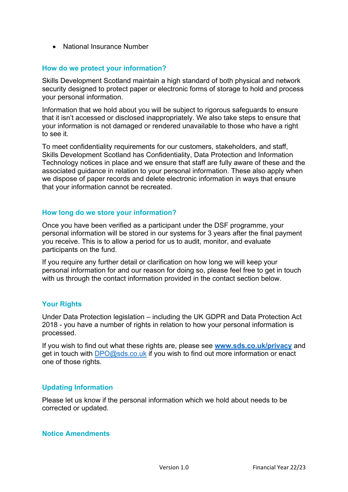• National Insurance Number

## **How do we protect your information?**

Skills Development Scotland maintain a high standard of both physical and network security designed to protect paper or electronic forms of storage to hold and process your personal information.

Information that we hold about you will be subject to rigorous safeguards to ensure that it isn't accessed or disclosed inappropriately. We also take steps to ensure that your information is not damaged or rendered unavailable to those who have a right to see it.

To meet confidentiality requirements for our customers, stakeholders, and staff, Skills Development Scotland has Confidentiality, Data Protection and Information Technology notices in place and we ensure that staff are fully aware of these and the associated guidance in relation to your personal information. These also apply when we dispose of paper records and delete electronic information in ways that ensure that your information cannot be recreated.

## **How long do we store your information?**

Once you have been verified as a participant under the DSF programme, your personal information will be stored in our systems for 3 years after the final payment you receive. This is to allow a period for us to audit, monitor, and evaluate participants on the fund.

If you require any further detail or clarification on how long we will keep your personal information for and our reason for doing so, please feel free to get in touch with us through the contact information provided in the contact section below.

## **Your Rights**

Under Data Protection legislation – including the UK GDPR and Data Protection Act 2018 - you have a number of rights in relation to how your personal information is processed.

If you wish to find out what these rights are, please see **[www.sds.co.uk/privacy](http://www.sds.co.uk/privacy)** and get in touch with [DPO@sds.co.uk](mailto:DPO@sds.co.uk) if you wish to find out more information or enact one of those rights.

## **Updating Information**

Please let us know if the personal information which we hold about needs to be corrected or updated.

#### **Notice Amendments**